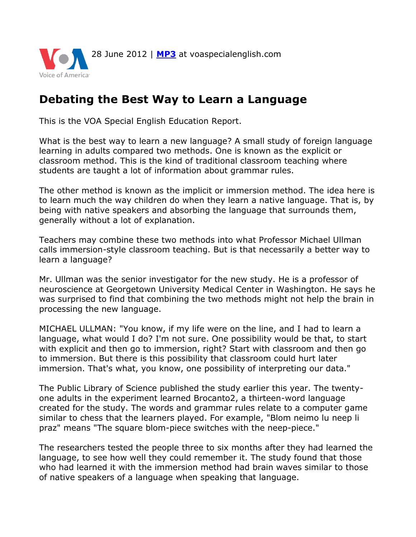

## **Debating the Best Way to Learn a Language**

This is the VOA Special English Education Report.

What is the best way to learn a new language? A small study of foreign language learning in adults compared two methods. One is known as the explicit or classroom method. This is the kind of traditional classroom teaching where students are taught a lot of information about grammar rules.

The other method is known as the implicit or immersion method. The idea here is to learn much the way children do when they learn a native language. That is, by being with native speakers and absorbing the language that surrounds them, generally without a lot of explanation.

Teachers may combine these two methods into what Professor Michael Ullman calls immersion-style classroom teaching. But is that necessarily a better way to learn a language?

Mr. Ullman was the senior investigator for the new study. He is a professor of neuroscience at Georgetown University Medical Center in Washington. He says he was surprised to find that combining the two methods might not help the brain in processing the new language.

MICHAEL ULLMAN: "You know, if my life were on the line, and I had to learn a language, what would I do? I'm not sure. One possibility would be that, to start with explicit and then go to immersion, right? Start with classroom and then go to immersion. But there is this possibility that classroom could hurt later immersion. That's what, you know, one possibility of interpreting our data."

The Public Library of Science published the study earlier this year. The twentyone adults in the experiment learned Brocanto2, a thirteen-word language created for the study. The words and grammar rules relate to a computer game similar to chess that the learners played. For example, "Blom neimo lu neep li praz" means "The square blom-piece switches with the neep-piece."

The researchers tested the people three to six months after they had learned the language, to see how well they could remember it. The study found that those who had learned it with the immersion method had brain waves similar to those of native speakers of a language when speaking that language.